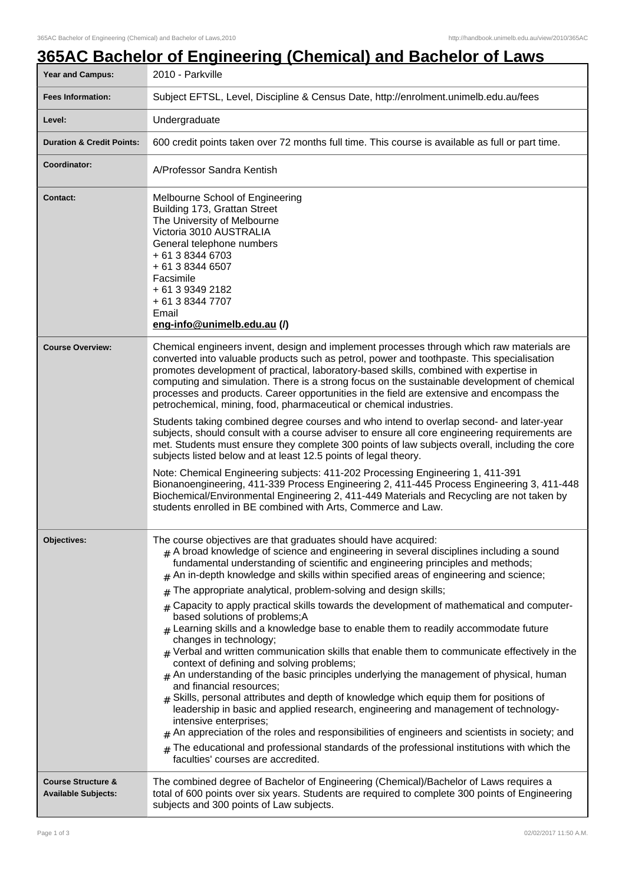# **365AC Bachelor of Engineering (Chemical) and Bachelor of Laws** Year and Campus: 2010 - Parkville **Fees Information:** [Subject EFTSL, Level, Discipline & Census Date, http://enrolment.unimelb.edu.au/fees](http://enrolment.unimelb.edu.au/fees) Level: **Level:** Undergraduate **Duration & Credit Points:** 600 credit points taken over 72 months full time. This course is available as full or part time. **Coordinator:** A/Professor Sandra Kentish **Contact:** Melbourne School of Engineering Building 173, Grattan Street The University of Melbourne Victoria 3010 AUSTRALIA General telephone numbers + 61 3 8344 6703 + 61 3 8344 6507 Facsimile + 61 3 9349 2182 + 61 3 8344 7707 Email **eng-info@unimelb.edu.au (/) Course Overview:** Chemical engineers invent, design and implement processes through which raw materials are converted into valuable products such as petrol, power and toothpaste. This specialisation promotes development of practical, laboratory-based skills, combined with expertise in computing and simulation. There is a strong focus on the sustainable development of chemical processes and products. Career opportunities in the field are extensive and encompass the petrochemical, mining, food, pharmaceutical or chemical industries. Students taking combined degree courses and who intend to overlap second- and later-year subjects, should consult with a course adviser to ensure all core engineering requirements are met. Students must ensure they complete 300 points of law subjects overall, including the core subjects listed below and at least 12.5 points of legal theory. Note: Chemical Engineering subjects: 411-202 Processing Engineering 1, 411-391 Bionanoengineering, 411-339 Process Engineering 2, 411-445 Process Engineering 3, 411-448 Biochemical/Environmental Engineering 2, 411-449 Materials and Recycling are not taken by students enrolled in BE combined with Arts, Commerce and Law. **Objectives:** The course objectives are that graduates should have acquired:  $#$  A broad knowledge of science and engineering in several disciplines including a sound fundamental understanding of scientific and engineering principles and methods;  $#$  An in-depth knowledge and skills within specified areas of engineering and science; The appropriate analytical, problem-solving and design skills;  $#$  Capacity to apply practical skills towards the development of mathematical and computerbased solutions of problems;A  ${}_{\#}$  Learning skills and a knowledge base to enable them to readily accommodate future changes in technology;  $#$  Verbal and written communication skills that enable them to communicate effectively in the context of defining and solving problems;  $#$  An understanding of the basic principles underlying the management of physical, human and financial resources;  $#$  Skills, personal attributes and depth of knowledge which equip them for positions of leadership in basic and applied research, engineering and management of technologyintensive enterprises;  $#$  An appreciation of the roles and responsibilities of engineers and scientists in society; and  $#$  The educational and professional standards of the professional institutions with which the faculties' courses are accredited. **Course Structure & Available Subjects:** The combined degree of Bachelor of Engineering (Chemical)/Bachelor of Laws requires a total of 600 points over six years. Students are required to complete 300 points of Engineering subjects and 300 points of Law subjects.

### Page 1 of 3 02/02/2017 11:50 A.M.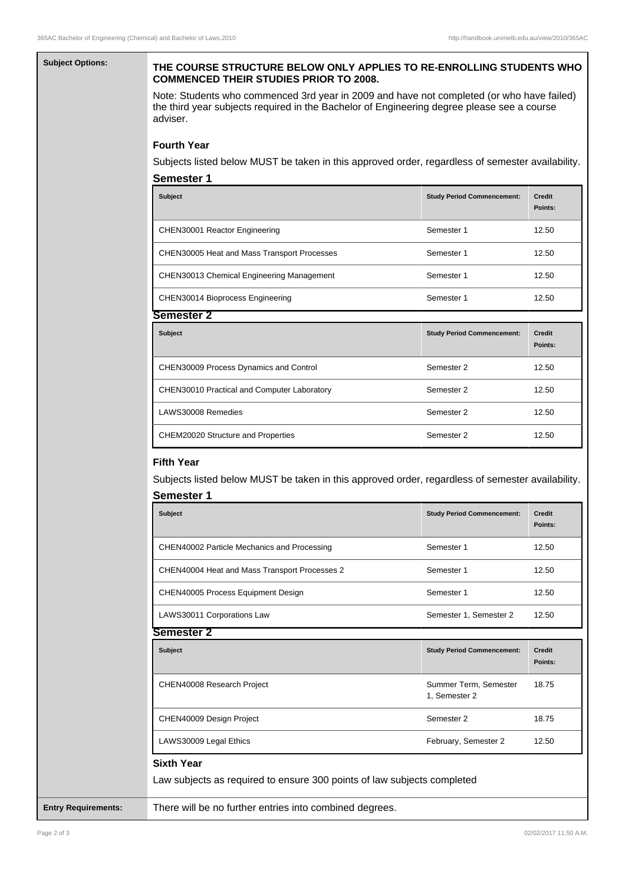# **Subject Options: THE COURSE STRUCTURE BELOW ONLY APPLIES TO RE-ENROLLING STUDENTS WHO COMMENCED THEIR STUDIES PRIOR TO 2008.**

Note: Students who commenced 3rd year in 2009 and have not completed (or who have failed) the third year subjects required in the Bachelor of Engineering degree please see a course adviser.

# **Fourth Year**

Subjects listed below MUST be taken in this approved order, regardless of semester availability.

| <b>Semester 1</b>                                  |                                   |                          |  |  |
|----------------------------------------------------|-----------------------------------|--------------------------|--|--|
| <b>Subject</b>                                     | <b>Study Period Commencement:</b> | <b>Credit</b><br>Points: |  |  |
| CHEN30001 Reactor Engineering                      | Semester 1                        | 12.50                    |  |  |
| <b>CHEN30005 Heat and Mass Transport Processes</b> | Semester 1                        | 12.50                    |  |  |
| CHEN30013 Chemical Engineering Management          | Semester 1                        | 12.50                    |  |  |
| CHEN30014 Bioprocess Engineering                   | Semester 1                        | 12.50                    |  |  |
| Semester 2                                         |                                   |                          |  |  |
| Subject                                            | <b>Study Period Commencement:</b> | <b>Credit</b><br>Points: |  |  |
| CHEN30009 Process Dynamics and Control             | Semester 2                        | 12.50                    |  |  |
| <b>CHEN30010 Practical and Computer Laboratory</b> | Semester 2                        | 12.50                    |  |  |

## **Fifth Year**

Subjects listed below MUST be taken in this approved order, regardless of semester availability.

LAWS30008 Remedies and the semester 2 12.50

CHEM20020 Structure and Properties Semester 2 12.50

| <b>Study Period Commencement:</b>                                       | <b>Credit</b><br>Points: |
|-------------------------------------------------------------------------|--------------------------|
| Semester 1                                                              | 12.50                    |
| Semester 1                                                              | 12.50                    |
| Semester 1                                                              | 12.50                    |
| Semester 1, Semester 2                                                  | 12.50                    |
|                                                                         |                          |
| <b>Study Period Commencement:</b>                                       | <b>Credit</b><br>Points: |
| Summer Term, Semester<br>1, Semester 2                                  | 18.75                    |
| Semester 2                                                              | 18.75                    |
| February, Semester 2                                                    | 12.50                    |
| Law subjects as required to ensure 300 points of law subjects completed |                          |
|                                                                         |                          |